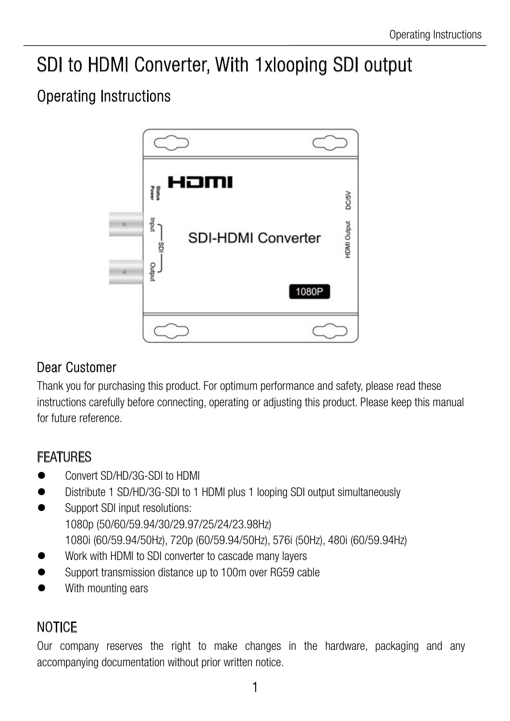# SDI to HDMI Converter, With 1xlooping SDI output

# Operating Instructions



#### Dear Customer

Thank you for purchasing this product. For optimum performance and safety, please read these instructions carefully before connecting, operating or adjusting this product. Please keep this manual for future reference.

### FEATURES

- Convert SD/HD/3G-SDI to HDMI
- Distribute 1 SD/HD/3G-SDI to 1 HDMI plus 1 looping SDI output simultaneously
- Support SDI input resolutions: 1080p (50/60/59.94/30/29.97/25/24/23.98Hz) 1080i (60/59.94/50Hz), 720p (60/59.94/50Hz), 576i (50Hz), 480i (60/59.94Hz)
- Work with HDMI to SDI converter to cascade many layers
- Support transmission distance up to 100m over RG59 cable
- With mounting ears

# **NOTICE**

Our company reserves the right to make changes in the hardware, packaging and any accompanying documentation without prior written notice.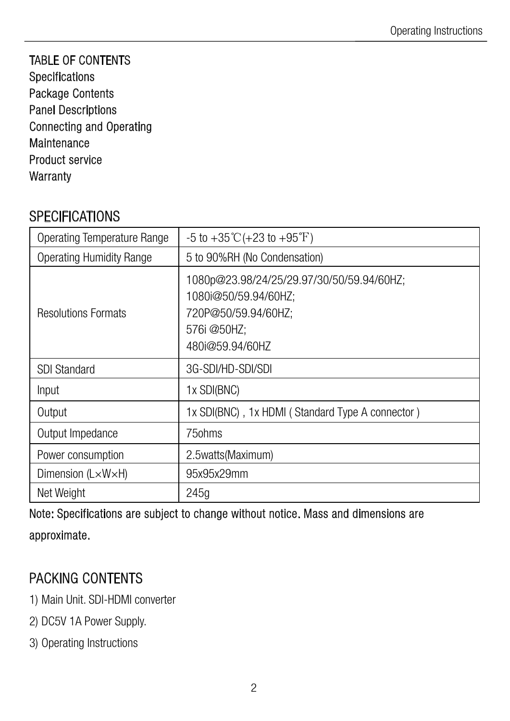TABLE OF CONTENTS Specifications Package Contents Panel Descriptions Connecting and Operating **Maintenance** Product service **Warranty** 

## **SPECIFICATIONS**

| Operating Temperature Range       | $-5$ to $+35^{\circ}\text{C}$ (+23 to $+95^{\circ}\text{F}$ )                                                              |
|-----------------------------------|----------------------------------------------------------------------------------------------------------------------------|
| <b>Operating Humidity Range</b>   | 5 to 90%RH (No Condensation)                                                                                               |
| <b>Resolutions Formats</b>        | 1080p@23.98/24/25/29.97/30/50/59.94/60HZ;<br>1080i@50/59.94/60HZ;<br>720P@50/59.94/60HZ;<br>576i @50HZ;<br>480i@59.94/60HZ |
| <b>SDI Standard</b>               | 3G-SDI/HD-SDI/SDI                                                                                                          |
| Input                             | 1x SDI(BNC)                                                                                                                |
| Output                            | 1x SDI(BNC), 1x HDMI (Standard Type A connector)                                                                           |
| Output Impedance                  | 75ohms                                                                                                                     |
| Power consumption                 | 2.5watts(Maximum)                                                                                                          |
| Dimension $(L \times W \times H)$ | 95x95x29mm                                                                                                                 |
| Net Weight                        | 245g                                                                                                                       |

Note: Specifications are subject to change without notice. Mass and dimensions are approximate.

## PACKING CONTENTS

- 1) Main Unit. SDI-HDMI converter
- 2) DC5V 1A Power Supply.
- 3) Operating Instructions